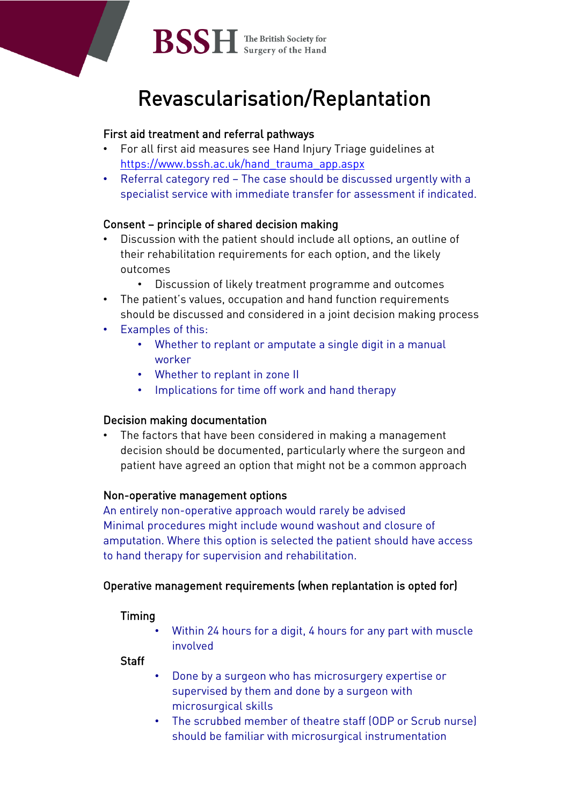

**BSSH** The British Society for

# Revascularisation/Replantation

# First aid treatment and referral pathways

- For all first aid measures see Hand Injury Triage guidelines at https://www.bssh.ac.uk/hand trauma\_app.aspx
- Referral category red The case should be discussed urgently with a specialist service with immediate transfer for assessment if indicated.

# Consent – principle of shared decision making

- Discussion with the patient should include all options, an outline of their rehabilitation requirements for each option, and the likely outcomes
	- Discussion of likely treatment programme and outcomes
- The patient's values, occupation and hand function requirements should be discussed and considered in a joint decision making process
- Examples of this:
	- Whether to replant or amputate a single digit in a manual worker
	- Whether to replant in zone II
	- Implications for time off work and hand therapy

# Decision making documentation

The factors that have been considered in making a management decision should be documented, particularly where the surgeon and patient have agreed an option that might not be a common approach

# Non-operative management options

An entirely non-operative approach would rarely be advised Minimal procedures might include wound washout and closure of amputation. Where this option is selected the patient should have access to hand therapy for supervision and rehabilitation.

# Operative management requirements (when replantation is opted for)

# Timing

• Within 24 hours for a digit, 4 hours for any part with muscle involved

**Staff** 

- Done by a surgeon who has microsurgery expertise or supervised by them and done by a surgeon with microsurgical skills
- The scrubbed member of theatre staff (ODP or Scrub nurse) should be familiar with microsurgical instrumentation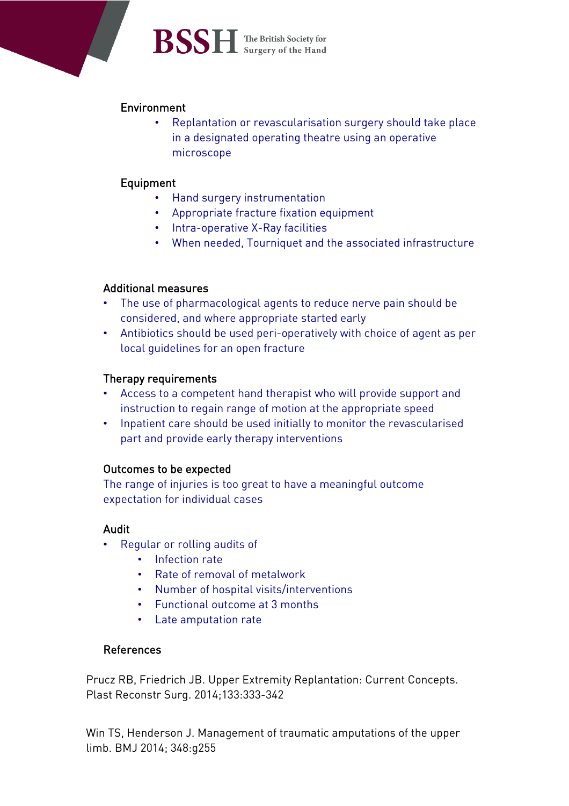# **BSSH** The British Society for

# Environment

• Replantation or revascularisation surgery should take place in a designated operating theatre using an operative microscope

# Equipment

- Hand surgery instrumentation
- Appropriate fracture fixation equipment
- Intra-operative X-Ray facilities
- When needed, Tourniquet and the associated infrastructure

# Additional measures

- The use of pharmacological agents to reduce nerve pain should be considered, and where appropriate started early
- Antibiotics should be used peri-operatively with choice of agent as per local guidelines for an open fracture

# Therapy requirements

- Access to a competent hand therapist who will provide support and instruction to regain range of motion at the appropriate speed
- Inpatient care should be used initially to monitor the revascularised part and provide early therapy interventions

# Outcomes to be expected

The range of injuries is too great to have a meaningful outcome expectation for individual cases

# Audit

- Regular or rolling audits of
	- Infection rate
	- Rate of removal of metalwork
	- Number of hospital visits/interventions
	- Functional outcome at 3 months
	- Late amputation rate

#### References

Prucz RB, Friedrich JB. Upper Extremity Replantation: Current Concepts. Plast Reconstr Surg. 2014;133:333-342

Win TS, Henderson J. Management of traumatic amputations of the upper limb. BMJ 2014; 348:g255